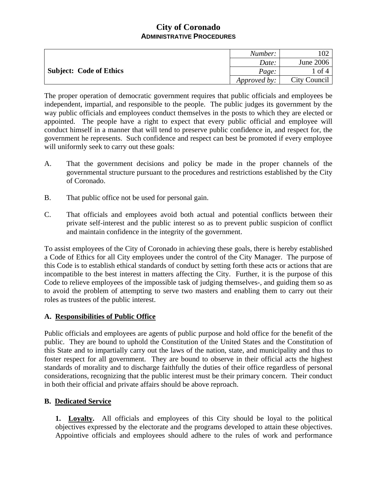|                         | Number:      |              |
|-------------------------|--------------|--------------|
| Subject: Code of Ethics | Date:        | June 2006    |
|                         | Page:        | of 4         |
|                         | Approved by: | City Council |

The proper operation of democratic government requires that public officials and employees be independent, impartial, and responsible to the people. The public judges its government by the way public officials and employees conduct themselves in the posts to which they are elected or appointed. The people have a right to expect that every public official and employee will conduct himself in a manner that will tend to preserve public confidence in, and respect for, the government he represents. Such confidence and respect can best be promoted if every employee will uniformly seek to carry out these goals:

- A. That the government decisions and policy be made in the proper channels of the governmental structure pursuant to the procedures and restrictions established by the City of Coronado.
- B. That public office not be used for personal gain.
- C. That officials and employees avoid both actual and potential conflicts between their private self-interest and the public interest so as to prevent public suspicion of conflict and maintain confidence in the integrity of the government.

To assist employees of the City of Coronado in achieving these goals, there is hereby established a Code of Ethics for all City employees under the control of the City Manager. The purpose of this Code is to establish ethical standards of conduct by setting forth these acts or actions that are incompatible to the best interest in matters affecting the City. Further, it is the purpose of this Code to relieve employees of the impossible task of judging themselves-, and guiding them so as to avoid the problem of attempting to serve two masters and enabling them to carry out their roles as trustees of the public interest.

### **A. Responsibilities of Public Office**

Public officials and employees are agents of public purpose and hold office for the benefit of the public. They are bound to uphold the Constitution of the United States and the Constitution of this State and to impartially carry out the laws of the nation, state, and municipality and thus to foster respect for all government. They are bound to observe in their official acts the highest standards of morality and to discharge faithfully the duties of their office regardless of personal considerations, recognizing that the public interest must be their primary concern. Their conduct in both their official and private affairs should be above reproach.

### **B. Dedicated Service**

**1. Loyalty.** All officials and employees of this City should be loyal to the political objectives expressed by the electorate and the programs developed to attain these objectives. Appointive officials and employees should adhere to the rules of work and performance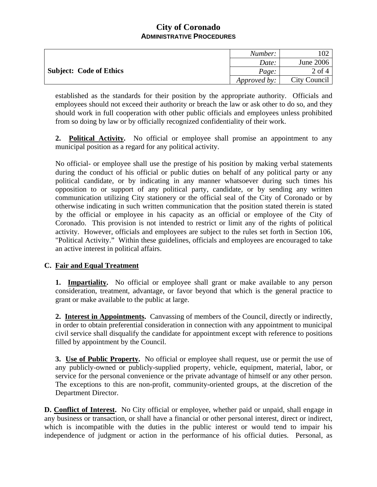|                                | Number:      |              |
|--------------------------------|--------------|--------------|
| <b>Subject: Code of Ethics</b> | Date:        | June 2006    |
|                                | Page:        | $2$ of 4     |
|                                | Approved by: | City Council |

established as the standards for their position by the appropriate authority. Officials and employees should not exceed their authority or breach the law or ask other to do so, and they should work in full cooperation with other public officials and employees unless prohibited from so doing by law or by officially recognized confidentiality of their work.

**2. Political Activity.** No official or employee shall promise an appointment to any municipal position as a regard for any political activity.

No official- or employee shall use the prestige of his position by making verbal statements during the conduct of his official or public duties on behalf of any political party or any political candidate, or by indicating in any manner whatsoever during such times his opposition to or support of any political party, candidate, or by sending any written communication utilizing City stationery or the official seal of the City of Coronado or by otherwise indicating in such written communication that the position stated therein is stated by the official or employee in his capacity as an official or employee of the City of Coronado. This provision is not intended to restrict or limit any of the rights of political activity. However, officials and employees are subject to the rules set forth in Section 106, "Political Activity." Within these guidelines, officials and employees are encouraged to take an active interest in political affairs.

### **C. Fair and Equal Treatment**

**1. Impartiality.** No official or employee shall grant or make available to any person consideration, treatment, advantage, or favor beyond that which is the general practice to grant or make available to the public at large.

**2. Interest in Appointments.** Canvassing of members of the Council, directly or indirectly, in order to obtain preferential consideration in connection with any appointment to municipal civil service shall disqualify the candidate for appointment except with reference to positions filled by appointment by the Council.

**3. Use of Public Property.** No official or employee shall request, use or permit the use of any publicly-owned or publicly-supplied property, vehicle, equipment, material, labor, or service for the personal convenience or the private advantage of himself or any other person. The exceptions to this are non-profit, community-oriented groups, at the discretion of the Department Director.

**D. Conflict of Interest.** No City official or employee, whether paid or unpaid, shall engage in any business or transaction, or shall have a financial or other personal interest, direct or indirect, which is incompatible with the duties in the public interest or would tend to impair his independence of judgment or action in the performance of his official duties. Personal, as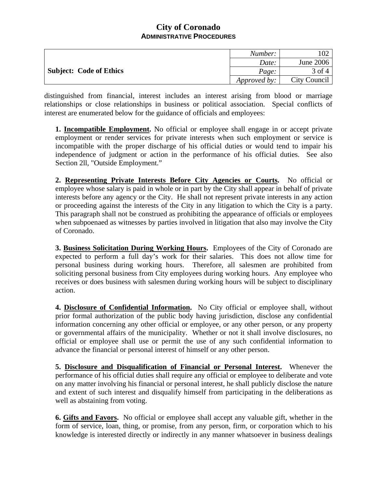|                                | Number:      |              |
|--------------------------------|--------------|--------------|
| <b>Subject: Code of Ethics</b> | Date:        | June 2006    |
|                                | Page:        | $3$ of $4$   |
|                                | Approved by: | City Council |

distinguished from financial, interest includes an interest arising from blood or marriage relationships or close relationships in business or political association. Special conflicts of interest are enumerated below for the guidance of officials and employees:

**1. Incompatible Employment.** No official or employee shall engage in or accept private employment or render services for private interests when such employment or service is incompatible with the proper discharge of his official duties or would tend to impair his independence of judgment or action in the performance of his official duties. See also Section 2ll, "Outside Employment."

**2. Representing Private Interests Before City Agencies or Courts.** No official or employee whose salary is paid in whole or in part by the City shall appear in behalf of private interests before any agency or the City. He shall not represent private interests in any action or proceeding against the interests of the City in any litigation to which the City is a party. This paragraph shall not be construed as prohibiting the appearance of officials or employees when subpoenaed as witnesses by parties involved in litigation that also may involve the City of Coronado.

**3. Business Solicitation During Working Hours.** Employees of the City of Coronado are expected to perform a full day's work for their salaries. This does not allow time for personal business during working hours. Therefore, all salesmen are prohibited from soliciting personal business from City employees during working hours. Any employee who receives or does business with salesmen during working hours will be subject to disciplinary action.

**4. Disclosure of Confidential Information.** No City official or employee shall, without prior formal authorization of the public body having jurisdiction, disclose any confidential information concerning any other official or employee, or any other person, or any property or governmental affairs of the municipality. Whether or not it shall involve disclosures, no official or employee shall use or permit the use of any such confidential information to advance the financial or personal interest of himself or any other person.

**5. Disclosure and Disqualification of Financial or Personal Interest.** Whenever the performance of his official duties shall require any official or employee to deliberate and vote on any matter involving his financial or personal interest, he shall publicly disclose the nature and extent of such interest and disqualify himself from participating in the deliberations as well as abstaining from voting.

**6. Gifts and Favors.** No official or employee shall accept any valuable gift, whether in the form of service, loan, thing, or promise, from any person, firm, or corporation which to his knowledge is interested directly or indirectly in any manner whatsoever in business dealings